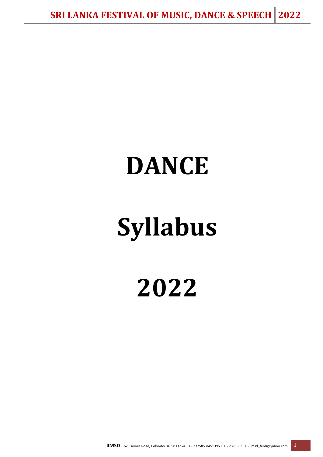## **DANCE**

# **Syllabus**

**2022**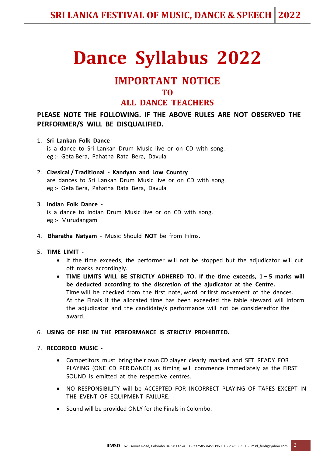## **Dance Syllabus 2022**

## **IMPORTANT NOTICE TO**

#### **ALL DANCE TEACHERS**

#### **PLEASE NOTE THE FOLLOWING. IF THE ABOVE RULES ARE NOT OBSERVED THE PERFORMER/S WILL BE DISQUALIFIED.**

- 1. **Sri Lankan Folk Dance** is a dance to Sri Lankan Drum Music live or on CD with song. eg :- Geta Bera, Pahatha Rata Bera, Davula
- 2. **Classical / Traditional Kandyan and Low Country** are dances to Sri Lankan Drum Music live or on CD with song. eg :- Geta Bera, Pahatha Rata Bera, Davula

#### 3. **Indian Folk Dance**  is a dance to Indian Drum Music live or on CD with song. eg :- Murudangam

- 4. **Bharatha Natyam** Music Should **NOT** be from Films.
- 5. **TIME LIMIT** 
	- If the time exceeds, the performer will not be stopped but the adjudicator will cut off marks accordingly.
	- TIME LIMITS WILL BE STRICTLY ADHERED TO. If the time exceeds, 1-5 marks will **be deducted according to the discretion of the ajudicator at the Centre.**  Time will be checked from the first note, word, or first movement of the dances. At the Finals if the allocated time has been exceeded the table steward will inform the adjudicator and the candidate/s performance will not be consideredfor the award.

#### 6. **USING OF FIRE IN THE PERFORMANCE IS STRICTLY PROHIBITED.**

#### 7. **RECORDED MUSIC -**

- Competitors must bring their own CD player clearly marked and SET READY FOR PLAYING (ONE CD PER DANCE) as timing will commence immediately as the FIRST SOUND is emitted at the respective centres.
- NO RESPONSIBILITY will be ACCEPTED FOR INCORRECT PLAYING OF TAPES EXCEPT IN THE EVENT OF EQUIPMENT FAILURE.
- Sound will be provided ONLY for the Finals in Colombo.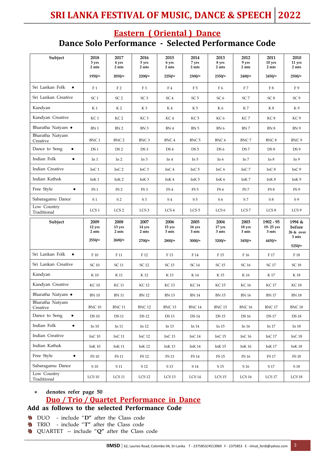### **Eastern ( Oriental ) Dance Dance Solo Performance - Selected Performance Code**

| Subject                         | 2018<br>3 yrs<br>2 mts<br>$1950/=$ | 2017<br>4 yrs<br>2 mts<br>$2050/=$ | 2016<br>5 yrs<br>2 mts<br>$2200/=$ | 2015<br>6 yrs<br>2 mts<br>$2250/=$ | 2014<br>7 yrs<br>2 mts<br>$2300/=$ | 2013<br>8 yrs<br>2 mts<br>$2350/=$ | 2012<br>9 yrs<br>2 mts<br>2400/ | 2011<br>10 yrs<br>2 mts<br>$2450/=$ | 2010<br>11 yrs<br>2 mts<br>2500/ |
|---------------------------------|------------------------------------|------------------------------------|------------------------------------|------------------------------------|------------------------------------|------------------------------------|---------------------------------|-------------------------------------|----------------------------------|
|                                 |                                    |                                    |                                    |                                    |                                    |                                    |                                 |                                     |                                  |
| Sri Lankan Folk<br>$\bullet$    | F <sub>1</sub>                     | F <sub>2</sub>                     | F <sub>3</sub>                     | F4                                 | F5                                 | F 6                                | F7                              | F8                                  | F 9                              |
| Sri Lankan Creative             | SC <sub>1</sub>                    | SC <sub>2</sub>                    | SC <sub>3</sub>                    | SC <sub>4</sub>                    | SC <sub>5</sub>                    | SC <sub>6</sub>                    | SC <sub>7</sub>                 | SC <sub>8</sub>                     | SC <sub>9</sub>                  |
| Kandyan                         | K 1                                | K 2                                | K3                                 | K4                                 | K 5                                | K 6                                | K 7                             | K8                                  | K 9                              |
| Kandyan Creative                | KC <sub>1</sub>                    | KC <sub>2</sub>                    | KC <sub>3</sub>                    | KC 4                               | KC 5                               | KC <sub>6</sub>                    | KC7                             | KC 8                                | KC 9                             |
| Bharatha Natyam ●               | BN 1                               | BN <sub>2</sub>                    | BN 3                               | BN 4                               | BN <sub>5</sub>                    | BN 6                               | BN 7                            | BN 8                                | BN 9                             |
| Bharatha Natyam<br>Creative     | BNC <sub>1</sub>                   | BNC <sub>2</sub>                   | BNC <sub>3</sub>                   | BNC <sub>4</sub>                   | BNC <sub>5</sub>                   | BNC 6                              | BNC7                            | BNC 8                               | BNC 9                            |
| Dance to Song<br>$\bullet$      | DS <sub>1</sub>                    | DS <sub>2</sub>                    | DS <sub>3</sub>                    | DS <sub>4</sub>                    | DS <sub>5</sub>                    | DS <sub>6</sub>                    | DS <sub>7</sub>                 | DS <sub>8</sub>                     | DS <sub>9</sub>                  |
| Indian Folk<br>$\bullet$        | In 1                               | In <sub>2</sub>                    | In <sub>3</sub>                    | In 4                               | In 5                               | In $6$                             | In 7                            | In 8                                | In 9                             |
| Indian Creative                 | InC <sub>1</sub>                   | InC <sub>2</sub>                   | InC <sub>3</sub>                   | InC <sub>4</sub>                   | InC $5$                            | InC $6$                            | InC 7                           | InC $8$                             | InC <sub>9</sub>                 |
| Indian Kathak                   | InK <sub>1</sub>                   | InK <sub>2</sub>                   | InK <sub>3</sub>                   | InK <sub>4</sub>                   | InK <sub>5</sub>                   | InK <sub>6</sub>                   | InK 7                           | InK 8                               | InK <sub>9</sub>                 |
| Free Style<br>$\bullet$         | FS <sub>1</sub>                    | FS <sub>2</sub>                    | FS <sub>3</sub>                    | FS <sub>4</sub>                    | FS <sub>5</sub>                    | FS <sub>6</sub>                    | FS <sub>7</sub>                 | FS 8                                | FS <sub>9</sub>                  |
| Sabaragamu Dance                | S <sub>1</sub>                     | S <sub>2</sub>                     | S 3                                | S <sub>4</sub>                     | S <sub>5</sub>                     | S 6                                | S7                              | S8                                  | S 9                              |
| Low Country<br>Traditional      | LCS <sub>1</sub>                   | LCS <sub>2</sub>                   | LCS <sub>3</sub>                   | LCS <sub>4</sub>                   | LCS <sub>5</sub>                   | LCS <sub>6</sub>                   | LCS <sub>7</sub>                | LCS 8                               | LCS <sub>9</sub>                 |
|                                 |                                    |                                    |                                    |                                    |                                    |                                    |                                 |                                     |                                  |
| Subject                         | 2009<br>12 yrs<br>2 mts            | 2008<br>13 yrs<br>2 mts            | 2007<br>14 yrs<br>2 mts            | 2006<br>15 yrs<br>3 mts            | 2005<br>16 yrs<br>3 mts            | 2004<br>17 yrs<br>3 mts            | 2003<br>18 yrs<br>3 mts         | $1902 - 95$<br>19-25 yrs<br>3 mts   | 1994 &<br>before<br>26 & over    |
|                                 | $2550/=$                           | $2600/=$                           | 2700/                              | 2800/                              | $3000/$ =                          | $3200/=$                           | 3450/                           | $4450/=$                            | 3 mts<br>$5250/=$                |
| Sri Lankan Folk<br>$\bullet$    | F 10                               | F 11                               | F 12                               | F 13                               | F 14                               | F 15                               | F 16                            | F 17                                | F 18                             |
| Sri Lankan Creative             | <b>SC10</b>                        | SC 11                              | SC 12                              | SC 13                              | <b>SC14</b>                        | SC 15                              | SC 16                           | SC 17                               | <b>SC18</b>                      |
| Kandyan                         | K 10                               | K 11                               | K 12                               | K 13                               | K 14                               | K 15                               | K 16                            | K 17                                | K 18                             |
| Kandyan Creative                | <b>KC10</b>                        | KC 11                              | <b>KC12</b>                        | KC 13                              | <b>KC14</b>                        | <b>KC15</b>                        | KC 16                           | <b>KC17</b>                         | <b>KC18</b>                      |
| Bharatha Natyam ●               | $\mathrm{BN}\,10$                  | $\mathrm{BN}\,11$                  | <b>BN 12</b>                       | $\mathop{\rm BN}$ 13               | $\mathrm{BN}\ 14$                  | $\rm BN$ 15                        | $\rm BN$ 16                     | $\mathrm{BN}\,17$                   | $\mathop{\rm BN}$ 18             |
| Bharatha Natyam<br>Creative     | <b>BNC 10</b>                      | <b>BNC 11</b>                      | <b>BNC 12</b>                      | <b>BNC 13</b>                      | <b>BNC 14</b>                      | <b>BNC 15</b>                      | <b>BNC 16</b>                   | <b>BNC 17</b>                       | <b>BNC 18</b>                    |
| Dance to Song<br>$\bullet$      | <b>DS10</b>                        | <b>DS 11</b>                       | <b>DS 12</b>                       | <b>DS 13</b>                       | <b>DS 14</b>                       | <b>DS 15</b>                       | <b>DS16</b>                     | <b>DS 17</b>                        | <b>DS 18</b>                     |
| Indian Folk<br>$\bullet$        | In 10                              | In 11                              | In $12$                            | In 13                              | In $14$                            | In 15                              | In 16                           | In 17                               | In 18                            |
| Indian Creative                 | InC10                              | InC11                              | InC <sub>12</sub>                  | InC <sub>13</sub>                  | InC $14$                           | InC $15$                           | InC16                           | InC $17$                            | InC $18$                         |
| Indian Kathak                   | $InK\,10$                          | InK 11                             | InK 12                             | InK 13                             | InK 14                             | InK 15                             | <b>InK16</b>                    | InK 17                              | InK 18                           |
| Free Style<br>$\bullet$         | FS 10                              | FS 11                              | FS 12                              | FS 13                              | FS 14                              | FS 15                              | FS 16                           | <b>FS17</b>                         | FS 18                            |
| Sabaragamu Dance<br>Low Country | $\rm S~10$                         | S 11                               | S 12                               | S 13                               | S 14                               | S 15                               | S 16                            | S 17                                | $\mathsf{S}\,18$                 |

#### **denotes refer page 50 Duo / Trio / Quartet Performance in Dance \***

**Add as follows to the selected Performance Code**

- DUO include "**D"** after the Class code 鏊
- 毊 TRIO - include "**T"** after the Class code
- QUARTET -- include "**Q"** after the Class code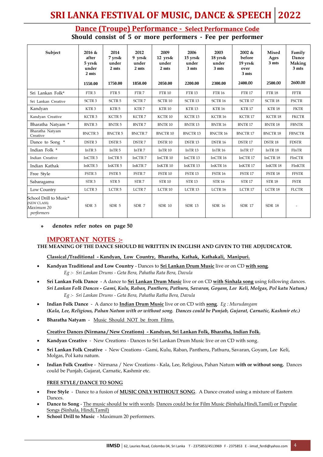## **SRI LANKA FESTIVAL OF MUSIC, DANCE & SPEECH 2022**

#### **Dance (Troupe) Performance - Select Performance Code Should consist of 5 or more performers - Fee per performer**

| Subject                                                           | $2016 \&$<br>after<br>$5 \text{ yrs}$ &<br>under<br>2 <sub>ints</sub><br>1550.00 | 2014<br>7 yrs&<br>under<br>2 mts<br>1750.00 | 2012<br>$9$ yrs &<br>under<br>2 mts<br>1850.00 | 2009<br>$12 \text{ yrs}$ &<br>under<br>2 mts<br>2050.00 | 2006<br>$15 \text{ yrs}$ &<br>under<br>3 mts<br>2200.00 | 2003<br>$18$ yrs &<br>under<br>3 mts<br>2300.00 | 2002 &<br>before<br>19 yrs&<br>over<br>3 mts<br>2400.00 | <b>Mixed</b><br>Ages<br>3 mts<br>2500.00 | Family<br>Dance<br>Making<br>3 mts<br>2600.00 |
|-------------------------------------------------------------------|----------------------------------------------------------------------------------|---------------------------------------------|------------------------------------------------|---------------------------------------------------------|---------------------------------------------------------|-------------------------------------------------|---------------------------------------------------------|------------------------------------------|-----------------------------------------------|
| Sri Lankan Folk*                                                  | FTR <sub>3</sub>                                                                 | FTR <sub>5</sub>                            | FTR <sub>7</sub>                               | <b>FTR 10</b>                                           | <b>FTR 13</b>                                           | <b>FTR 16</b>                                   | <b>FTR 17</b>                                           | <b>FTR 18</b>                            | <b>FFTR</b>                                   |
| Sri Lankan Creative                                               | SCTR <sub>3</sub>                                                                | SCTR <sub>5</sub>                           | SCTR <sub>7</sub>                              | SCTR <sub>10</sub>                                      | SCTR <sub>13</sub>                                      | SCTR <sub>16</sub>                              | SCTR <sub>17</sub>                                      | <b>SCTR18</b>                            | <b>FSCTR</b>                                  |
| Kandyan                                                           | KTR <sub>3</sub>                                                                 | KTR <sub>5</sub>                            | KTR <sub>7</sub>                               | KTR <sub>10</sub>                                       | KTR <sub>13</sub>                                       | <b>KTR 16</b>                                   | KTR <sub>17</sub>                                       | KTR <sub>18</sub>                        | <b>FKTR</b>                                   |
| Kandyan Creative                                                  | KCTR <sub>3</sub>                                                                | KCTR <sub>5</sub>                           | KCTR7                                          | KCTR 10                                                 | KCTR 13                                                 | KCTR <sub>16</sub>                              | KCTR 17                                                 | KCTR <sub>18</sub>                       | <b>FKCTR</b>                                  |
| Bharatha Natyam *                                                 | <b>BNTR3</b>                                                                     | <b>BNTR5</b>                                | <b>BNTR7</b>                                   | <b>BNTR10</b>                                           | <b>BNTR13</b>                                           | <b>BNTR 16</b>                                  | <b>BNTR17</b>                                           | <b>BNTR18</b>                            | <b>FBNTR</b>                                  |
| Bharatha Natyam<br>Creative                                       | <b>BNCTR3</b>                                                                    | <b>BNCTR5</b>                               | <b>BNCTR7</b>                                  | <b>BNCTR10</b>                                          | <b>BNCTR13</b>                                          | <b>BNCTR16</b>                                  | <b>BNCTR17</b>                                          | <b>BNCTR18</b>                           | <b>FBNCTR</b>                                 |
| Dance to Song *                                                   | DSTR <sub>3</sub>                                                                | DSTR <sub>5</sub>                           | DSTR <sub>7</sub>                              | DSTR <sub>10</sub>                                      | DSTR <sub>13</sub>                                      | DSTR <sub>16</sub>                              | DSTR <sub>17</sub>                                      | DSTR <sub>18</sub>                       | <b>FDSTR</b>                                  |
| Indian Folk *                                                     | InTR <sub>3</sub>                                                                | InTR <sub>5</sub>                           | InTR <sub>7</sub>                              | InTR 10                                                 | InTR <sub>13</sub>                                      | In $TR 16$                                      | InTR <sub>17</sub>                                      | InTR <sub>18</sub>                       | FInTR                                         |
| Indian Creative                                                   | InCTR <sub>3</sub>                                                               | InCTR <sub>5</sub>                          | InCTR <sub>7</sub>                             | InCTR 10                                                | InCTR 13                                                | InCTR 16                                        | InCTR 17                                                | InCTR <sub>18</sub>                      | FInCTR                                        |
| Indian Kathak                                                     | InKTR <sub>3</sub>                                                               | InKTR <sub>5</sub>                          | InKTR 7                                        | InKTR <sub>10</sub>                                     | InKTR <sub>13</sub>                                     | InKTR <sub>16</sub>                             | InKTR <sub>17</sub>                                     | InKTR <sub>18</sub>                      | FInKTR                                        |
| Free Style                                                        | FSTR <sub>3</sub>                                                                | FSTR <sub>5</sub>                           | FSTR 7                                         | FSTR 10                                                 | FSTR <sub>13</sub>                                      | <b>FSTR 16</b>                                  | FSTR 17                                                 | FSTR <sub>18</sub>                       | <b>FFSTR</b>                                  |
| Sabaragamu                                                        | STR <sub>3</sub>                                                                 | STR <sub>5</sub>                            | STR <sub>7</sub>                               | <b>STR 10</b>                                           | <b>STR 13</b>                                           | <b>STR 16</b>                                   | <b>STR17</b>                                            | <b>STR 18</b>                            | <b>FSTR</b>                                   |
| Low Country                                                       | LCTR <sub>3</sub>                                                                | LCTR <sub>5</sub>                           | LCTR <sub>7</sub>                              | LCTR 10                                                 | LCTR <sub>13</sub>                                      | LCTR 16                                         | LCTR 17                                                 | LCTR 18                                  | <b>FLCTR</b>                                  |
| School Drill to Music*<br>(NEW CLASS)<br>Maximum 20<br>performers | SDR 3                                                                            | SDR 5                                       | SDR 7                                          | <b>SDR 10</b>                                           | <b>SDR 13</b>                                           | <b>SDR 16</b>                                   | <b>SDR 17</b>                                           | SDR 18                                   |                                               |

#### **denotes refer notes on page 50 \***

#### **IMPORTANT NOTES :-**

**THE MEANING OF THE DANCE SHOULD BE WRITTEN IN ENGLISH AND GIVEN TO THE ADJUDICATOR.**

#### **Classical /Traditional - Kandyan, Low Country, Bharatha, Kathak, Kathakali, Manipuri.**

- **Kandyan Traditional and Low Country** Dances to **Sri Lankan Drum Music** live or on CD **with song**.  *Eg :- Sri Lankan Drums - Geta Bera, Pahatha Rata Bera, Davula*
- **Sri Lankan Folk Dance** A dance to **Sri Lankan Drum Music** live or on CD **with Sinhala song** using following dances. *Sri Lankan Folk Dances - Gami, Kulu, Raban, Pantheru, Pathuru, Savaran, Goyam, Lee Keli, Molgas, Pol katu Natum.) Eg :- Sri Lankan Drums - Geta Bera, Pahatha Ratha Bera, Davula*
- **Indian Folk Dance** A dance to **Indian Drum Music** live or on CD with **song**. *Eg : Murudangam (Kala, Lee, Religious, Pahan Natum with or without song. Dances could be Punjab, Gujarat, Carnatic, Kashmir etc.)*
- **Bharatha Natyam** Music Should NOT be from Films.

#### **Creative Dances (Nirmana / New Creations) - Kandyan, Sri Lankan Folk, Bharatha, Indian Folk.**

- **Kandyan Creative** New Creations Dances to Sri Lankan Drum Music live or on CD with song.
- **Sri Lankan Folk Creative** New Creations Gami, Kulu, Raban, Pantheru, Pathuru, Savaran, Goyam, Lee Keli, Molgas, Pol katu natum.
- **Indian Folk Creative** Nirmana / New Creations Kala, Lee, Religious, Pahan Natum **with or without song.** Dances could be Punjab, Gujarat, Carnatic, Kashmir etc.

#### **FREE STYLE / DANCE TO SONG**

- **Free Style** Dance to a fusion of **MUSIC ONLY WITHOUT SONG**. A Dance created using a mixture of Eastern Dances.
- **Dance to Song** The music should be with words. Dances could be for Film Music (Sinhala,Hindi,Tamil) or Popular Songs (Sinhala, Hindi,Tamil)
- **School Drill to Music** Maximum 20 performers.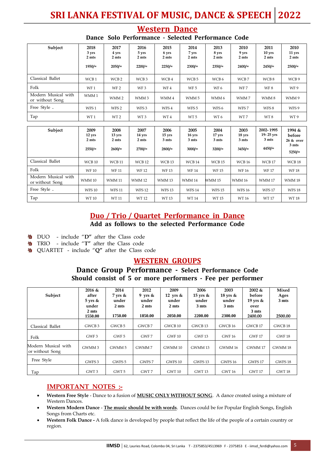## **SRI LANKA FESTIVAL OF MUSIC, DANCE & SPEECH 2022**

| Subject                                | 2018<br>3 yrs<br>2 mts<br>$1950/=$  | 2017<br>4 yrs<br>2 mts<br>$2050/$ = | 2016<br>5 yrs<br>2 mts<br>$2200/=$  | 2015<br>6 yrs<br>2 mts<br>$2250/=$  | 2014<br>7 yrs<br>2 mts<br>$2300/=$  | 2013<br>8 yrs<br>2 mts<br>$2350/=$  | 2010<br>9 yrs<br>2 mts<br>2400/  | 2011<br>10 yrs<br>2 mts<br>$2450/=$      | 2010<br>11 yrs<br>2 mts<br>$2500/=$                |
|----------------------------------------|-------------------------------------|-------------------------------------|-------------------------------------|-------------------------------------|-------------------------------------|-------------------------------------|----------------------------------|------------------------------------------|----------------------------------------------------|
| Classical Ballet                       | WCB <sub>1</sub>                    | WCB <sub>2</sub>                    | WCB <sub>3</sub>                    | WCB 4                               | WCB <sub>5</sub>                    | WCB 6                               | WCB7                             | WCB8                                     | WCB 9                                              |
| Folk                                   | WF <sub>1</sub>                     | WF <sub>2</sub>                     | WF <sub>3</sub>                     | WF4                                 | WF <sub>5</sub>                     | WF <sub>6</sub>                     | WF7                              | WF8                                      | WF 9                                               |
| Modern Musical with<br>or without Song | WMM1                                | WMM <sub>2</sub>                    | WMM <sub>3</sub>                    | WMM 4                               | WMM <sub>5</sub>                    | WMM 6                               | WMM7                             | WMM8                                     | WMM9                                               |
| Free Style.                            | WFS <sub>1</sub>                    | WFS <sub>2</sub>                    | WFS <sub>3</sub>                    | WFS4                                | WFS <sub>5</sub>                    | WFS <sub>6</sub>                    | WFS7                             | WFS 8                                    | WFS 9                                              |
| Tap                                    | WT <sub>1</sub>                     | WT <sub>2</sub>                     | WT <sub>3</sub>                     | WT4                                 | WT <sub>5</sub>                     | WT <sub>6</sub>                     | WT7                              | WT8                                      | WT9                                                |
|                                        |                                     |                                     |                                     |                                     |                                     |                                     |                                  |                                          |                                                    |
| Subject                                | 2009<br>12 yrs<br>2 mts<br>$2550/=$ | 2008<br>13 yrs<br>2 mts<br>2600/    | 2007<br>14 yrs<br>2 mts<br>$2700/=$ | 2006<br>15 yrs<br>3 mts<br>$2800/=$ | 2005<br>16 yrs<br>3 mts<br>$3000/=$ | 2004<br>17 yrs<br>3 mts<br>$3200/=$ | 2003<br>18 yrs<br>3 mts<br>3450/ | 2002-1995<br>19-25 yrs<br>3 mts<br>4450/ | 1994 &<br>before<br>26 & over<br>3 mts<br>$5250/=$ |
| Classical Ballet                       | WCB <sub>10</sub>                   | <b>WCB11</b>                        | <b>WCB12</b>                        | WCB <sub>13</sub>                   | WCB <sub>14</sub>                   | WCB <sub>15</sub>                   | <b>WCB 16</b>                    | <b>WCB 17</b>                            | WCB <sub>18</sub>                                  |
| Folk                                   | <b>WF10</b>                         | <b>WF11</b>                         | <b>WF12</b>                         | <b>WF13</b>                         | <b>WF14</b>                         | <b>WF15</b>                         | <b>WF16</b>                      | <b>WF17</b>                              | <b>WF18</b>                                        |
| Modern Musical with<br>or without Song | <b>WMM 10</b>                       | <b>WMM11</b>                        | <b>WMM12</b>                        | <b>WMM13</b>                        | <b>WMM14</b>                        | WMM 15                              | <b>WMM16</b>                     | <b>WMM17</b>                             | <b>WMM 18</b>                                      |
| Free Style.                            | <b>WFS10</b>                        | <b>WFS11</b>                        | <b>WFS12</b>                        | <b>WFS13</b>                        | <b>WFS14</b>                        | <b>WFS15</b>                        | <b>WFS16</b>                     | <b>WFS17</b>                             | <b>WFS18</b>                                       |
| Tap                                    | WT 10                               | WT 11                               | <b>WT12</b>                         | <b>WT13</b>                         | <b>WT14</b>                         | <b>WT15</b>                         | WT 16                            | <b>WT17</b>                              | <b>WT18</b>                                        |

#### **Western Dance Dance Solo Performance - Selected Performance Code**

### **Duo / Trio / Quartet Performance in Dance**

**Add as follows to the selected Performance Code**

- DUO include "**D"** after the Class code
- TRIO include "**T"** after the Class code 摰
- QUARTET include "**Q"** after the Class code

#### **WESTERN GROUPS**

#### **Dance Group Performance - Select Performance Code Should consist of 5 or more performers - Fee per performer**

| Subject                                | $2016 \&$<br>after<br>$5 \text{ yrs}$ &<br>under<br>2 mts<br>1550.00 | 2014<br>$7 \text{ yrs}$ &<br>under<br>2 mts<br>1750.00 | 2012<br>9 yrs $\&$<br>under<br>2 mts<br>1850.00 | 2009<br>12 yrs $\&$<br>under<br>2 mts<br>2050.00 | 2006<br>15 yrs $\&$<br>under<br>3 mts<br>2200.00 | 2003<br>$18$ yrs &<br>under<br>3 mts<br>2300.00 | $2002 \&$<br>before<br>19 yrs $\&$<br>over<br>3 mts<br>2400.00 | Mixed<br>Ages<br>3 mts<br>2500.00 |
|----------------------------------------|----------------------------------------------------------------------|--------------------------------------------------------|-------------------------------------------------|--------------------------------------------------|--------------------------------------------------|-------------------------------------------------|----------------------------------------------------------------|-----------------------------------|
| Classical Ballet                       | GWCB <sub>3</sub>                                                    | GWCB <sub>5</sub>                                      | GWCB 7                                          | GWCB <sub>10</sub>                               | GWCB <sub>13</sub>                               | GWCB <sub>16</sub>                              | GWCB <sub>17</sub>                                             | GWCB <sub>18</sub>                |
| Folk                                   | GWF 3                                                                | GWF 5                                                  | GWF 7                                           | <b>GWF 10</b>                                    | <b>GWF 13</b>                                    | <b>GWF 16</b>                                   | <b>GWF 17</b>                                                  | GWF <sub>18</sub>                 |
| Modern Musical with<br>or without Song | GWMM 3                                                               | GWMM 5                                                 | GWMM7                                           | GWMM 10                                          | GWMM 13                                          | GWMM 16                                         | GWMM 17                                                        | GWMM 18                           |
| Free Style                             | GWFS 3                                                               | GWFS <sub>5</sub>                                      | GWFS 7                                          | GWFS <sub>10</sub>                               | GWFS <sub>13</sub>                               | <b>GWFS 16</b>                                  | GWFS <sub>17</sub>                                             | GWFS <sub>18</sub>                |
| Tap                                    | GWT 3                                                                | GWT 5                                                  | GWT 7                                           | GWT 10                                           | GWT 13                                           | <b>GWT 16</b>                                   | <b>GWT 17</b>                                                  | GWT 18                            |

#### **IMPORTANT NOTES :-**

- **Western Free Style** Dance to a fusion of **MUSIC ONLY WITHOUT SONG**. A dance created using a mixture of Western Dances.
- **Western Modern Dance The music should be with words**. Dances could be for Popular English Songs, English Songs from Charts etc.
- **Western Folk Dance -** A folk dance is developed by people that reflect the life of the people of a certain country or region.